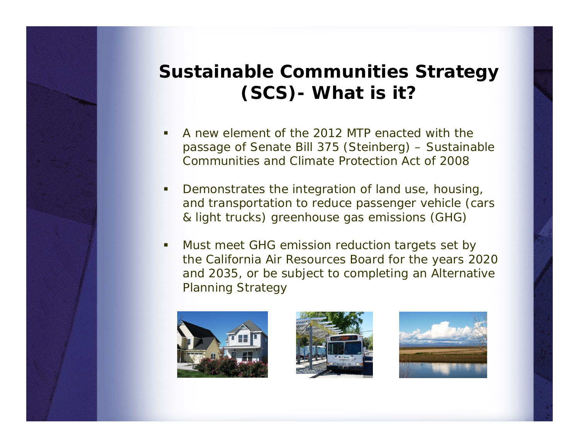# **Sustainable Communities Strategy (SCS)- What is it?**

- ш A new element of the 2012 MTP enacted with the passage of Senate Bill 375 (Steinberg) – Sustainable Communities and Climate Protection Act of 2008
- п Demonstrates the integration of land use, housing, and transportation to reduce passenger vehicle (cars & light trucks) greenhouse gas emissions (GHG)
- T. Must meet GHG emission reduction targets set by the California Air Resources Board for the years 2020 and 2035, or be subject to completing an Alternative Planning Strategy





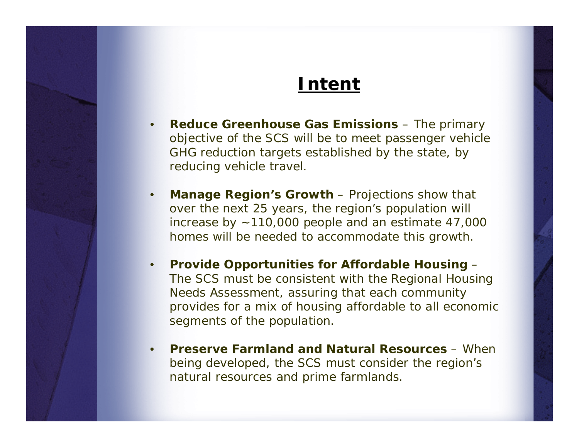# **Intent**

- •**Reduce Greenhouse Gas Emissions – The primary** objective of the SCS will be to meet passenger vehicle GHG reduction targets established by the state, by reducing vehicle travel.
- •**Manage Region's Growth** – Projections show that over the next 25 years, the region's population will increase by ~110,000 people and an estimate 47,000 homes will be needed to accommodate this growth.
- • **Provide Opportunities for Affordable Housing** – The SCS must be consistent with the Regional Housing Needs Assessment, assuring that each community provides for a mix of housing affordable to all economic segments of the population.
- • **Preserve Farmland and Natural Resources** – When being developed, the SCS must consider the region's natural resources and prime farmlands.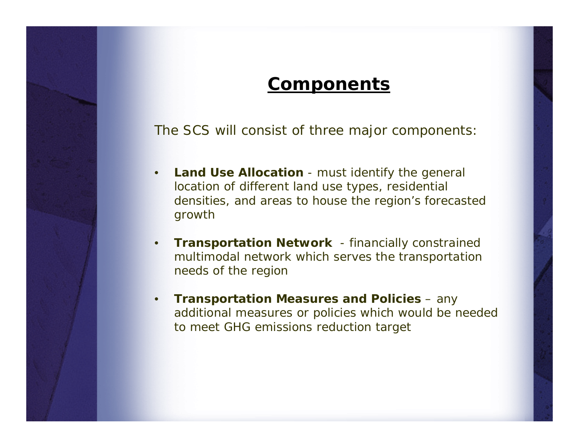## **Components**

The SCS will consist of three major components:

- • **Land Use Allocation** - must identify the general location of different land use types, residential densities, and areas to house the region's forecasted growth
- • **Transportation Network** - financially constrained multimodal network which serves the transportation needs of the region
- • **Transportation Measures and Policies** – any additional measures or policies which would be needed to meet GHG emissions reduction target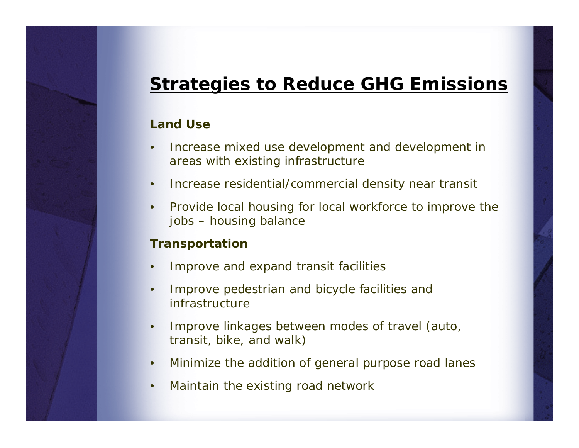# **Strategies to Reduce GHG Emissions**

### **Land Use**

- • Increase mixed use development and development in areas with existing infrastructure
- •Increase residential/commercial density near transit
- • Provide local housing for local workforce to improve the jobs – housing balance

#### **Transportation**

- •Improve and expand transit facilities
- • Improve pedestrian and bicycle facilities and infrastructure
- • Improve linkages between modes of travel (auto, transit, bike, and walk)
- •Minimize the addition of general purpose road lanes
- •Maintain the existing road network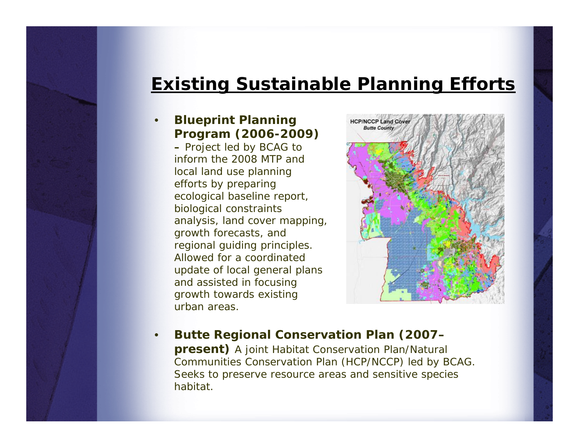# **Existing Sustainable Planning Efforts**

#### • **Blueprint Planning Program (2006-2009)**

**–** Project led by BCAG to inform the 2008 MTP and local land use planning efforts by preparing ecological baseline report, biological constraints analysis, land cover mapping, growth forecasts, and regional guiding principles. Allowed for a coordinated update of local general plans and assisted in focusing growth towards existing urban areas.



• **Butte Regional Conservation Plan (2007– present)** A joint Habitat Conservation Plan/Natural Communities Conservation Plan (HCP/NCCP) led by BCAG. Seeks to preserve resource areas and sensitive species habitat.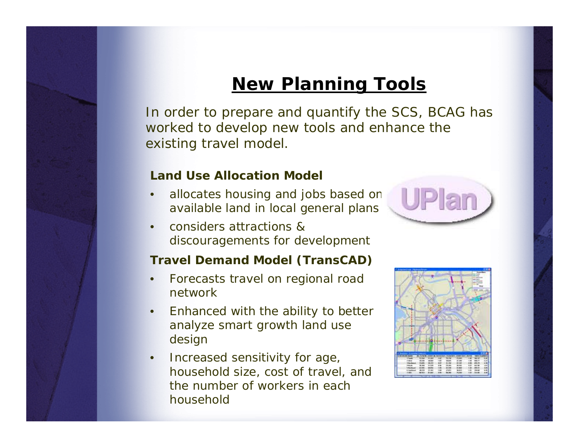# **New Planning Tools**

In order to prepare and quantify the SCS, BCAG has worked to develop new tools and enhance the existing travel model.

#### **Land Use Allocation Model**

- • allocates housing and jobs based on available land in local general plans
- • considers attractions & discouragements for development

#### **Travel Demand Model (***TransCAD***)**

- • Forecasts travel on regional road network
- • Enhanced with the ability to better analyze smart growth land use design
- $\bullet$  Increased sensitivity for age, household size, cost of travel, and the number of workers in each household

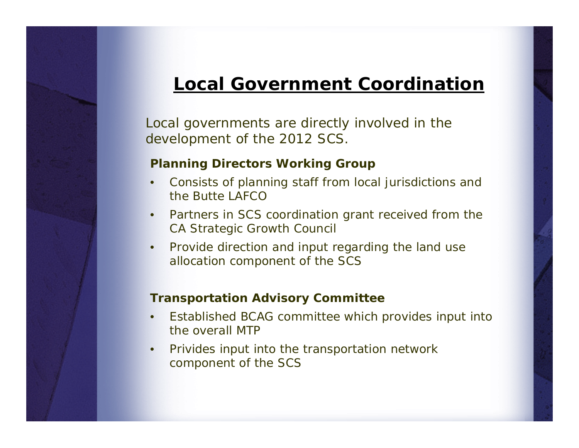# **Local Government Coordination**

Local governments are directly involved in the development of the 2012 SCS.

### **Planning Directors Working Group**

- • Consists of planning staff from local jurisdictions and the Butte LAFCO
- • Partners in SCS coordination grant received from the CA Strategic Growth Council
- • Provide direction and input regarding the land use allocation component of the SCS

### **Transportation Advisory Committee**

- • Established BCAG committee which provides input into the overall MTP
- • Privides input into the transportation network component of the SCS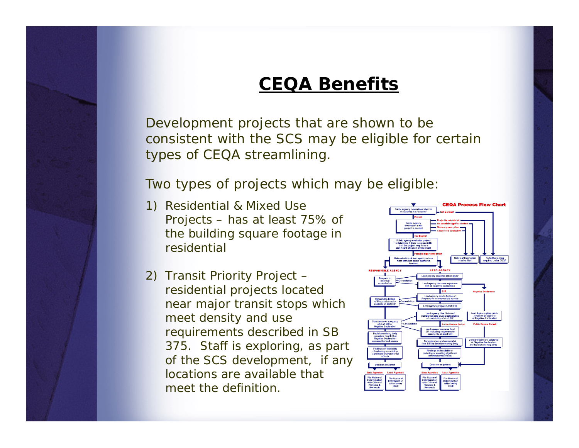# **CEQA Benefits**

Development projects that are shown to be consistent with the SCS may be eligible for certain types of CEQA streamlining.

Two types of projects which may be eligible:

- 1) Residential & Mixed Use Projects – has at least 75% of the building square footage in residential
- 2) Transit Priority Project residential projects located near major transit stops which meet density and use requirements described in SB 375. *Staff is exploring, as part of the SCS development, if any locations are available that meet the definition.*

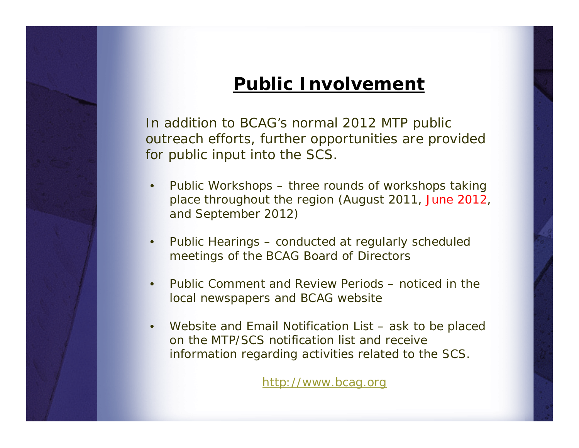## **Public Involvement**

In addition to BCAG's normal 2012 MTP public outreach efforts, further opportunities are provided for public input into the SCS.

- • Public Workshops – three rounds of workshops taking place throughout the region (August 2011, June 2012, and September 2012)
- • Public Hearings – conducted at regularly scheduled meetings of the BCAG Board of Directors
- • Public Comment and Review Periods – noticed in the local newspapers and BCAG website
- • Website and Email Notification List – ask to be placed on the MTP/SCS notification list and receive information regarding activities related to the SCS.

[http://www.bcag.org](http://www.bcag.org/)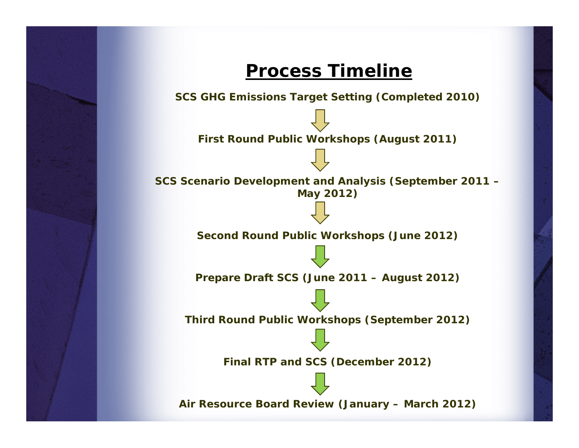

**Air Resource Board Review (January – March 2012)**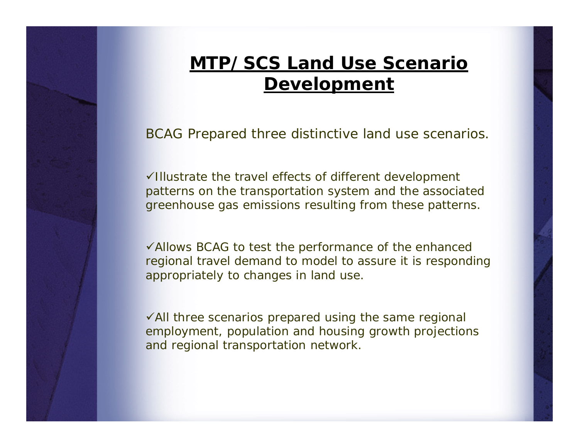# **MTP/SCS Land Use Scenario Development**

BCAG Prepared three distinctive land use scenarios.

 $\checkmark$ Illustrate the travel effects of different development patterns on the transportation system and the associated greenhouse gas emissions resulting from these patterns.

 $\checkmark$  Allows BCAG to test the performance of the enhanced regional travel demand to model to assure it is responding appropriately to changes in land use.

 $\sqrt{\frac{1}{1}}$  three scenarios prepared using the same regional employment, population and housing growth projections and regional transportation network.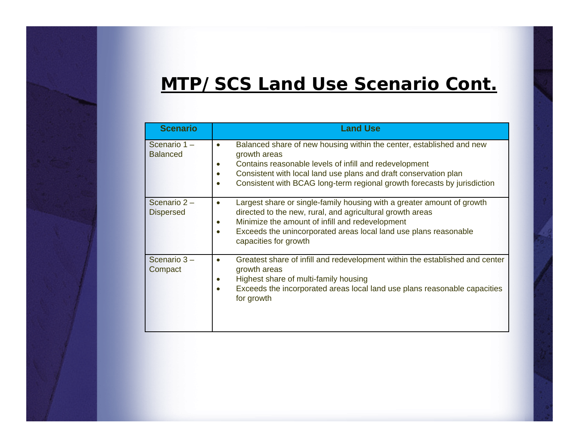# **MTP/SCS Land Use Scenario Cont.**

| <b>Scenario</b>                 | <b>Land Use</b>                                                                                                                                                                                                                                                                                  |
|---------------------------------|--------------------------------------------------------------------------------------------------------------------------------------------------------------------------------------------------------------------------------------------------------------------------------------------------|
| Scenario 1-<br><b>Balanced</b>  | Balanced share of new housing within the center, established and new<br>growth areas<br>Contains reasonable levels of infill and redevelopment<br>Consistent with local land use plans and draft conservation plan<br>Consistent with BCAG long-term regional growth forecasts by jurisdiction   |
| Scenario 2-<br><b>Dispersed</b> | Largest share or single-family housing with a greater amount of growth<br>$\bullet$<br>directed to the new, rural, and agricultural growth areas<br>Minimize the amount of infill and redevelopment<br>Exceeds the unincorporated areas local land use plans reasonable<br>capacities for growth |
| Scenario 3-<br>Compact          | Greatest share of infill and redevelopment within the established and center<br>growth areas<br>Highest share of multi-family housing<br>Exceeds the incorporated areas local land use plans reasonable capacities<br>for growth                                                                 |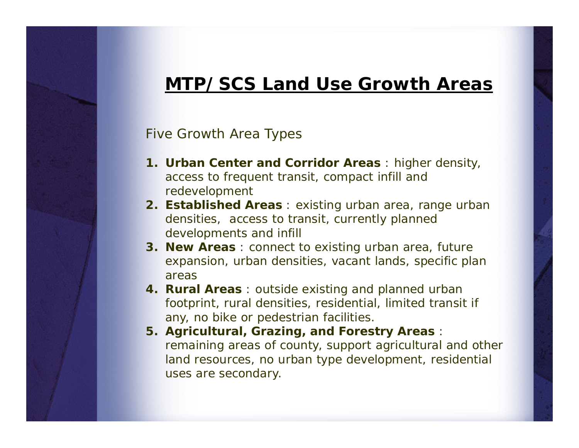## **MTP/SCS Land Use Growth Areas**

### Five Growth Area Types

- **1. Urban Center and Corridor Areas** : higher density, access to frequent transit, compact infill and redevelopment
- **2. Established Areas** : existing urban area, range urban densities, access to transit, currently planned developments and infill
- **3. New Areas** : connect to existing urban area, future expansion, urban densities, vacant lands, specific plan areas
- **4. Rural Areas** : outside existing and planned urban footprint, rural densities, residential, limited transit if any, no bike or pedestrian facilities.
- **5. Agricultural, Grazing, and Forestry Areas** : remaining areas of county, support agricultural and other land resources, no urban type development, residential uses are secondary.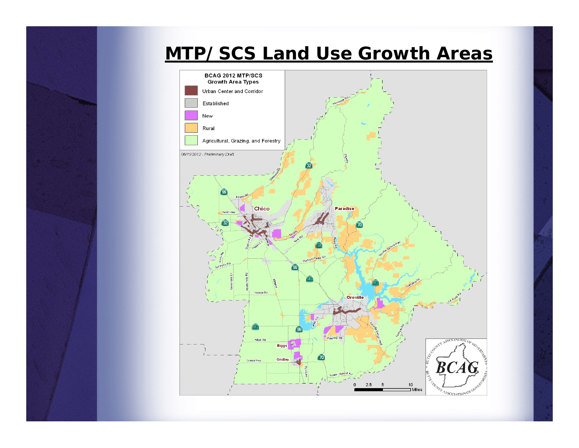# **MTP/SCS Land Use Growth Areas**

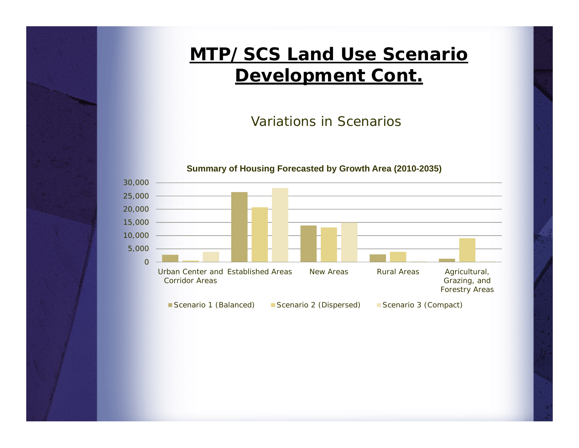# **MTP/SCS Land Use Scenario Development Cont.**

Variations in Scenarios

#### **Summary of Housing Forecasted by Growth Area (2010-2035)**

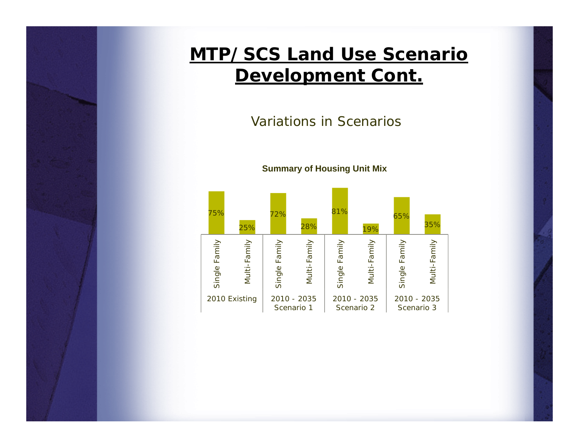# **MTP/SCS Land Use Scenario Development Cont.**

Variations in Scenarios



**Summary of Housing Unit Mix**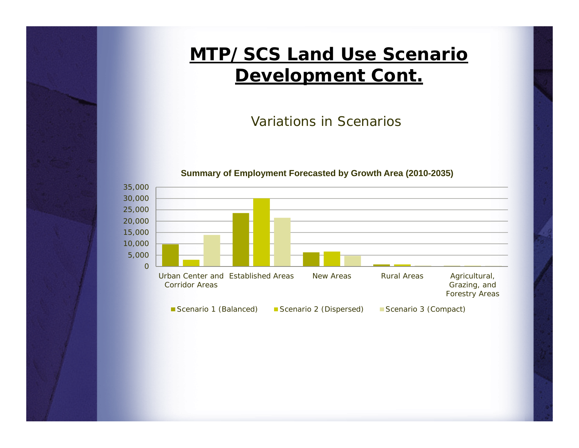# **MTP/SCS Land Use Scenario Development Cont.**

Variations in Scenarios

#### **Summary of Employment Forecasted by Growth Area (2010-2035)**

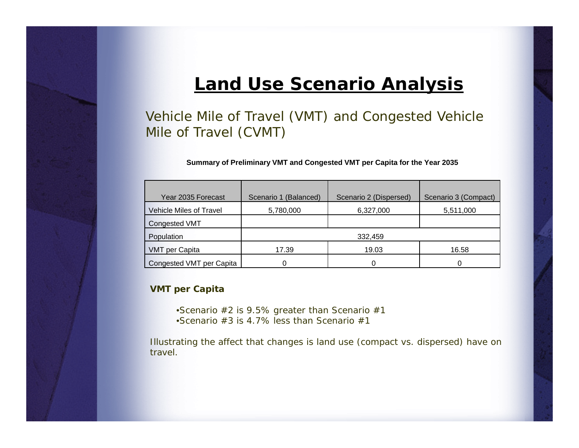## **Land Use Scenario Analysis**

Vehicle Mile of Travel (VMT) and Congested Vehicle Mile of Travel (CVMT)

**Summary of Preliminary VMT and Congested VMT per Capita for the Year 2035**

| Year 2035 Forecast             | Scenario 1 (Balanced) | Scenario 2 (Dispersed) | Scenario 3 (Compact) |
|--------------------------------|-----------------------|------------------------|----------------------|
| <b>Vehicle Miles of Travel</b> | 5,780,000             | 6,327,000              | 5,511,000            |
| <b>Congested VMT</b>           |                       |                        |                      |
| Population                     |                       | 332,459                |                      |
| <b>VMT</b> per Capita          | 17.39                 | 19.03                  | 16.58                |
| Congested VMT per Capita       |                       | 0                      | 0                    |

#### **VMT per Capita**

- •Scenario #2 is 9.5% greater than Scenario #1
- •Scenario #3 is 4.7% less than Scenario #1

Illustrating the affect that changes is land use (compact vs. dispersed) have on travel.